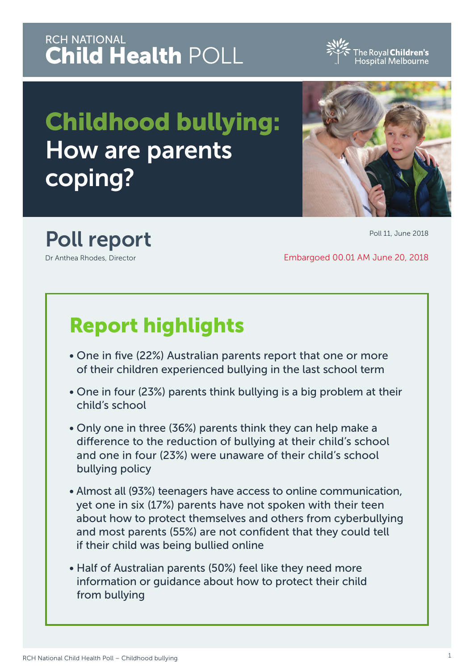## RCH NATIONAL Child Health POLL

Childhood bullying: How are parents coping?

# Poll report

Dr Anthea Rhodes, Director

# Report highlights

- One in five (22%) Australian parents report that one or more of their children experienced bullying in the last school term
- One in four (23%) parents think bullying is a big problem at their child's school
- Only one in three (36%) parents think they can help make a difference to the reduction of bullying at their child's school and one in four (23%) were unaware of their child's school bullying policy
- Almost all (93%) teenagers have access to online communication, yet one in six (17%) parents have not spoken with their teen about how to protect themselves and others from cyberbullying and most parents (55%) are not confident that they could tell if their child was being bullied online
- Half of Australian parents (50%) feel like they need more information or guidance about how to protect their child from bullying



Embargoed 00.01 AM June 20, 2018

Poll 11, June 2018

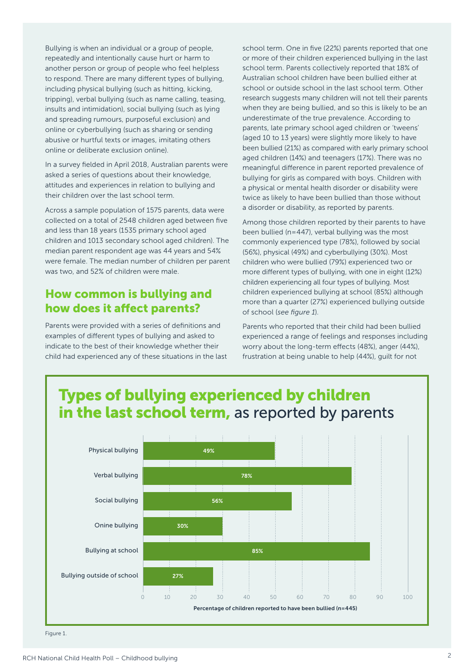Bullying is when an individual or a group of people, repeatedly and intentionally cause hurt or harm to another person or group of people who feel helpless to respond. There are many different types of bullying, including physical bullying (such as hitting, kicking, tripping), verbal bullying (such as name calling, teasing, insults and intimidation), social bullying (such as lying and spreading rumours, purposeful exclusion) and online or cyberbullying (such as sharing or sending abusive or hurtful texts or images, imitating others online or deliberate exclusion online).

In a survey fielded in April 2018, Australian parents were asked a series of questions about their knowledge, attitudes and experiences in relation to bullying and their children over the last school term.

Across a sample population of 1575 parents, data were collected on a total of 2548 children aged between five and less than 18 years (1535 primary school aged children and 1013 secondary school aged children). The median parent respondent age was 44 years and 54% were female. The median number of children per parent was two, and 52% of children were male.

#### How common is bullying and how does it affect parents?

Parents were provided with a series of definitions and examples of different types of bullying and asked to indicate to the best of their knowledge whether their child had experienced any of these situations in the last school term. One in five (22%) parents reported that one or more of their children experienced bullying in the last school term. Parents collectively reported that 18% of Australian school children have been bullied either at school or outside school in the last school term. Other research suggests many children will not tell their parents when they are being bullied, and so this is likely to be an underestimate of the true prevalence. According to parents, late primary school aged children or 'tweens' (aged 10 to 13 years) were slightly more likely to have been bullied (21%) as compared with early primary school aged children (14%) and teenagers (17%). There was no meaningful difference in parent reported prevalence of bullying for girls as compared with boys. Children with a physical or mental health disorder or disability were twice as likely to have been bullied than those without a disorder or disability, as reported by parents.

Among those children reported by their parents to have been bullied (n=447), verbal bullying was the most commonly experienced type (78%), followed by social (56%), physical (49%) and cyberbullying (30%). Most children who were bullied (79%) experienced two or more different types of bullying, with one in eight (12%) children experiencing all four types of bullying. Most children experienced bullying at school (85%) although more than a quarter (27%) experienced bullying outside of school (*see figure 1*).

Parents who reported that their child had been bullied experienced a range of feelings and responses including worry about the long-term effects (48%), anger (44%), frustration at being unable to help (44%), guilt for not

## Types of bullying experienced by children in the last school term, as reported by parents



Figure 1.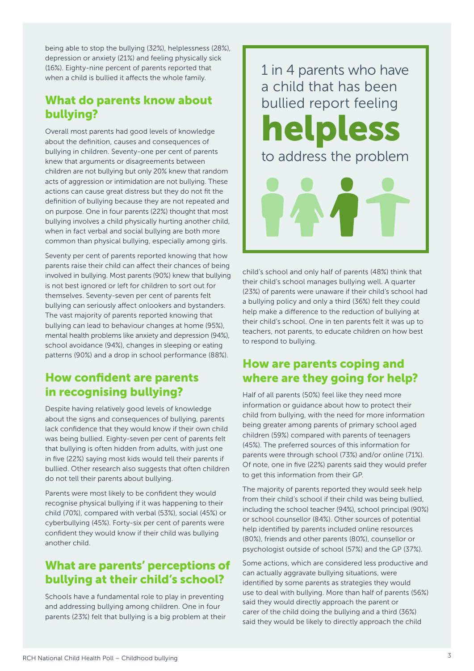being able to stop the bullying (32%), helplessness (28%), depression or anxiety (21%) and feeling physically sick (16%). Eighty-nine percent of parents reported that when a child is bullied it affects the whole family.

### What do parents know about bullying?

Overall most parents had good levels of knowledge about the definition, causes and consequences of bullying in children. Seventy-one per cent of parents knew that arguments or disagreements between children are not bullying but only 20% knew that random acts of aggression or intimidation are not bullying. These actions can cause great distress but they do not fit the definition of bullying because they are not repeated and on purpose. One in four parents (22%) thought that most bullying involves a child physically hurting another child, when in fact verbal and social bullying are both more common than physical bullying, especially among girls.

Seventy per cent of parents reported knowing that how parents raise their child can affect their chances of being involved in bullying. Most parents (90%) knew that bullying is not best ignored or left for children to sort out for themselves. Seventy-seven per cent of parents felt bullying can seriously affect onlookers and bystanders. The vast majority of parents reported knowing that bullying can lead to behaviour changes at home (95%), mental health problems like anxiety and depression (94%), school avoidance (94%), changes in sleeping or eating patterns (90%) and a drop in school performance (88%).

#### How confident are parents in recognising bullying?

Despite having relatively good levels of knowledge about the signs and consequences of bullying, parents lack confidence that they would know if their own child was being bullied. Eighty-seven per cent of parents felt that bullying is often hidden from adults, with just one in five (22%) saying most kids would tell their parents if bullied. Other research also suggests that often children do not tell their parents about bullying.

Parents were most likely to be confident they would recognise physical bullying if it was happening to their child (70%), compared with verbal (53%), social (45%) or cyberbullying (45%). Forty-six per cent of parents were confident they would know if their child was bullying another child.

### What are parents' perceptions of bullying at their child's school?

Schools have a fundamental role to play in preventing and addressing bullying among children. One in four parents (23%) felt that bullying is a big problem at their 1 in 4 parents who have a child that has been bullied report feeling helpless to address the problem

child's school and only half of parents (48%) think that their child's school manages bullying well. A quarter (23%) of parents were unaware if their child's school had a bullying policy and only a third (36%) felt they could help make a difference to the reduction of bullying at their child's school. One in ten parents felt it was up to teachers, not parents, to educate children on how best to respond to bullying.

#### How are parents coping and where are they going for help?

Half of all parents (50%) feel like they need more information or guidance about how to protect their child from bullying, with the need for more information being greater among parents of primary school aged children (59%) compared with parents of teenagers (45%). The preferred sources of this information for parents were through school (73%) and/or online (71%). Of note, one in five (22%) parents said they would prefer to get this information from their GP.

The majority of parents reported they would seek help from their child's school if their child was being bullied, including the school teacher (94%), school principal (90%) or school counsellor (84%). Other sources of potential help identified by parents included online resources (80%), friends and other parents (80%), counsellor or psychologist outside of school (57%) and the GP (37%).

Some actions, which are considered less productive and can actually aggravate bullying situations, were identified by some parents as strategies they would use to deal with bullying. More than half of parents (56%) said they would directly approach the parent or carer of the child doing the bullying and a third (36%) said they would be likely to directly approach the child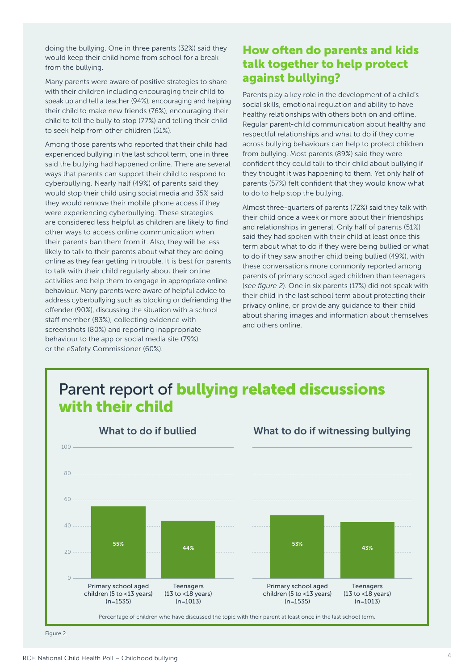doing the bullying. One in three parents (32%) said they would keep their child home from school for a break from the bullying.

Many parents were aware of positive strategies to share with their children including encouraging their child to speak up and tell a teacher (94%), encouraging and helping their child to make new friends (76%), encouraging their child to tell the bully to stop (77%) and telling their child to seek help from other children (51%).

Among those parents who reported that their child had experienced bullying in the last school term, one in three said the bullying had happened online. There are several ways that parents can support their child to respond to cyberbullying. Nearly half (49%) of parents said they would stop their child using social media and 35% said they would remove their mobile phone access if they were experiencing cyberbullying. These strategies are considered less helpful as children are likely to find other ways to access online communication when their parents ban them from it. Also, they will be less likely to talk to their parents about what they are doing online as they fear getting in trouble. It is best for parents to talk with their child regularly about their online activities and help them to engage in appropriate online behaviour. Many parents were aware of helpful advice to address cyberbullying such as blocking or defriending the offender (90%), discussing the situation with a school staff member (83%), collecting evidence with screenshots (80%) and reporting inappropriate behaviour to the app or social media site (79%) or the eSafety Commissioner (60%).

### How often do parents and kids talk together to help protect against bullying?

Parents play a key role in the development of a child's social skills, emotional regulation and ability to have healthy relationships with others both on and offline. Regular parent-child communication about healthy and respectful relationships and what to do if they come across bullying behaviours can help to protect children from bullying. Most parents (89%) said they were confident they could talk to their child about bullying if they thought it was happening to them. Yet only half of parents (57%) felt confident that they would know what to do to help stop the bullying.

Almost three-quarters of parents (72%) said they talk with their child once a week or more about their friendships and relationships in general. Only half of parents (51%) said they had spoken with their child at least once this term about what to do if they were being bullied or what to do if they saw another child being bullied (49%), with these conversations more commonly reported among parents of primary school aged children than teenagers (*see figure 2*). One in six parents (17%) did not speak with their child in the last school term about protecting their privacy online, or provide any guidance to their child about sharing images and information about themselves and others online.



Figure 2.